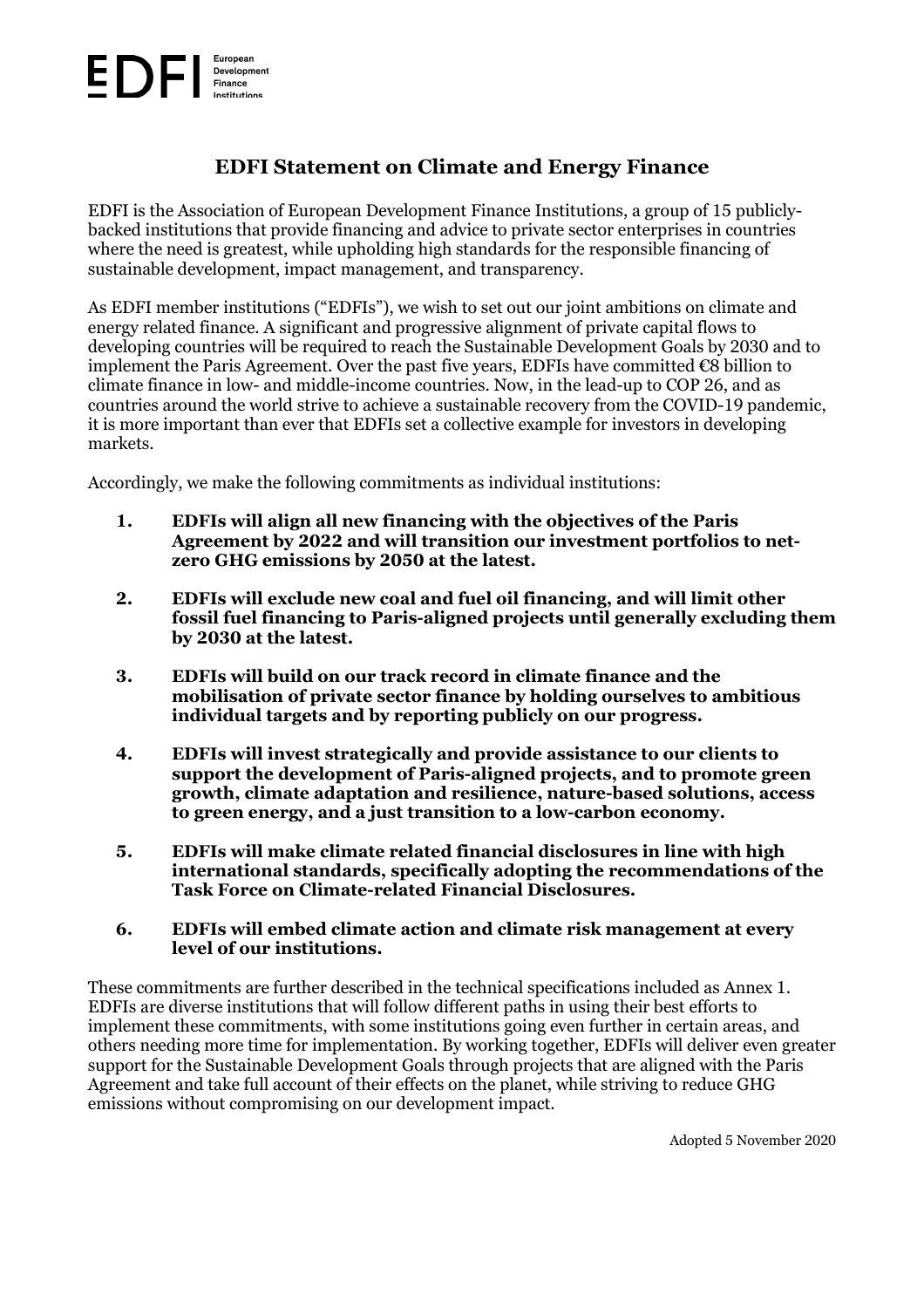#### European Development Finance

# **EDFI Statement on Climate and Energy Finance**

EDFI is the Association of European Development Finance Institutions, a group of 15 publiclybacked institutions that provide financing and advice to private sector enterprises in countries where the need is greatest, while upholding high standards for the responsible financing of sustainable development, impact management, and transparency.

As EDFI member institutions ("EDFIs"), we wish to set out our joint ambitions on climate and energy related finance. A significant and progressive alignment of private capital flows to developing countries will be required to reach the Sustainable Development Goals by 2030 and to implement the Paris Agreement. Over the past five years, EDFIs have committed  $\epsilon$ 8 billion to climate finance in low- and middle-income countries. Now, in the lead-up to COP 26, and as countries around the world strive to achieve a sustainable recovery from the COVID-19 pandemic, it is more important than ever that EDFIs set a collective example for investors in developing markets.

Accordingly, we make the following commitments as individual institutions:

- **1. EDFIs will align all new financing with the objectives of the Paris Agreement by 2022 and will transition our investment portfolios to netzero GHG emissions by 2050 at the latest.**
- **2. EDFIs will exclude new coal and fuel oil financing, and will limit other fossil fuel financing to Paris-aligned projects until generally excluding them by 2030 at the latest.**
- **3. EDFIs will build on our track record in climate finance and the mobilisation of private sector finance by holding ourselves to ambitious individual targets and by reporting publicly on our progress.**
- **4. EDFIs will invest strategically and provide assistance to our clients to support the development of Paris-aligned projects, and to promote green growth, climate adaptation and resilience, nature-based solutions, access to green energy, and a just transition to a low-carbon economy.**
- **5. EDFIs will make climate related financial disclosures in line with high international standards, specifically adopting the recommendations of the Task Force on Climate-related Financial Disclosures.**
- **6. EDFIs will embed climate action and climate risk management at every level of our institutions.**

These commitments are further described in the technical specifications included as Annex 1. EDFIs are diverse institutions that will follow different paths in using their best efforts to implement these commitments, with some institutions going even further in certain areas, and others needing more time for implementation. By working together, EDFIs will deliver even greater support for the Sustainable Development Goals through projects that are aligned with the Paris Agreement and take full account of their effects on the planet, while striving to reduce GHG emissions without compromising on our development impact.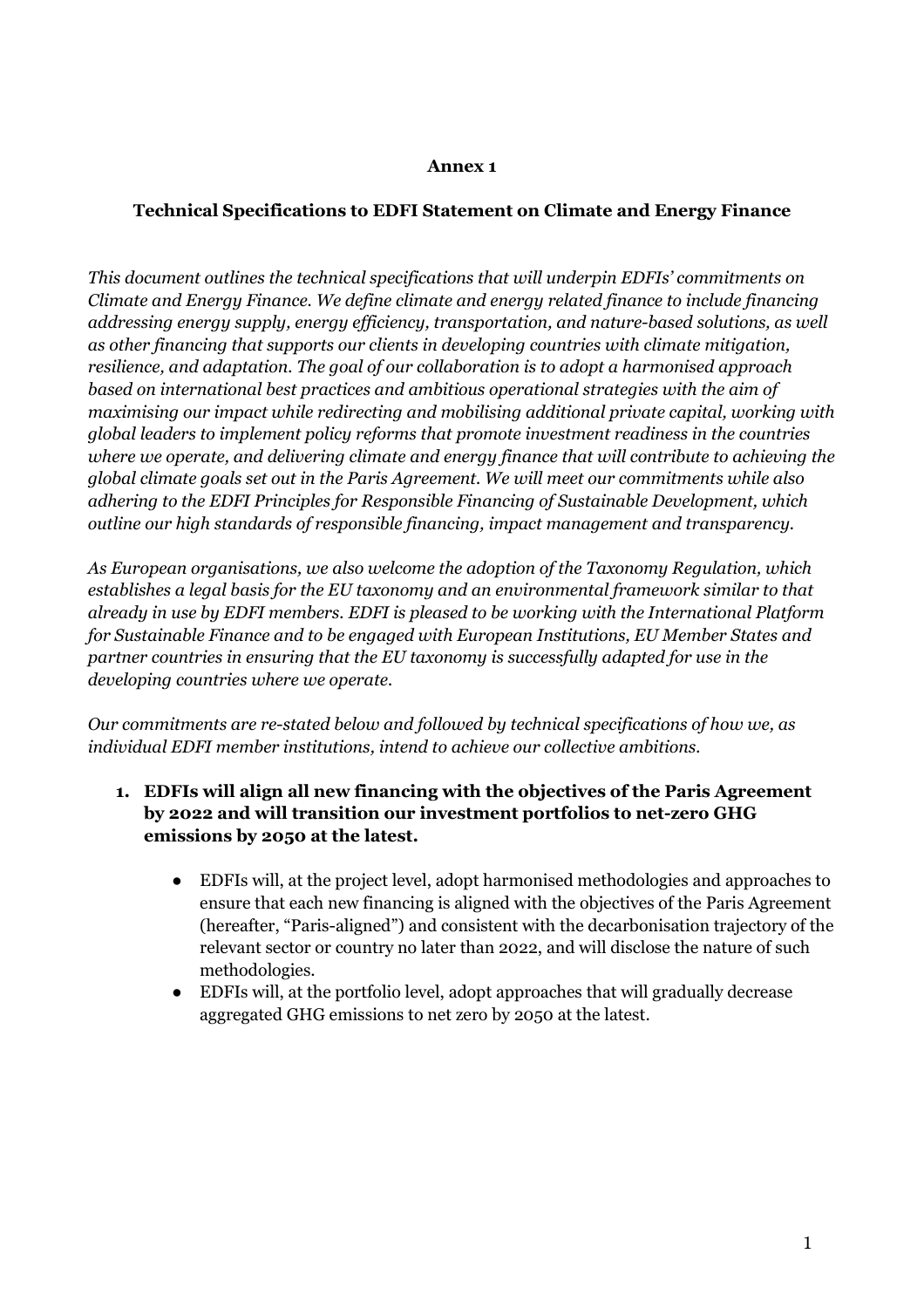#### **Annex 1**

#### **Technical Specifications to EDFI Statement on Climate and Energy Finance**

*This document outlines the technical specifications that will underpin EDFIs' commitments on Climate and Energy Finance. We define climate and energy related finance to include financing addressing energy supply, energy efficiency, transportation, and nature-based solutions, as well as other financing that supports our clients in developing countries with climate mitigation, resilience, and adaptation. The goal of our collaboration is to adopt a harmonised approach based on international best practices and ambitious operational strategies with the aim of maximising our impact while redirecting and mobilising additional private capital, working with global leaders to implement policy reforms that promote investment readiness in the countries where we operate, and delivering climate and energy finance that will contribute to achieving the global climate goals set out in the Paris Agreement. We will meet our commitments while also adhering to the EDFI Principles for Responsible Financing of Sustainable Development, which outline our high standards of responsible financing, impact management and transparency.* 

*As European organisations, we also welcome the adoption of the Taxonomy Regulation, which establishes a legal basis for the EU taxonomy and an environmental framework similar to that already in use by EDFI members. EDFI is pleased to be working with the International Platform for Sustainable Finance and to be engaged with European Institutions, EU Member States and partner countries in ensuring that the EU taxonomy is successfully adapted for use in the developing countries where we operate.* 

*Our commitments are re-stated below and followed by technical specifications of how we, as individual EDFI member institutions, intend to achieve our collective ambitions.* 

- **1. EDFIs will align all new financing with the objectives of the Paris Agreement by 2022 and will transition our investment portfolios to net-zero GHG emissions by 2050 at the latest.** 
	- EDFIs will, at the project level, adopt harmonised methodologies and approaches to ensure that each new financing is aligned with the objectives of the Paris Agreement (hereafter, "Paris-aligned") and consistent with the decarbonisation trajectory of the relevant sector or country no later than 2022, and will disclose the nature of such methodologies.
	- EDFIs will, at the portfolio level, adopt approaches that will gradually decrease aggregated GHG emissions to net zero by 2050 at the latest.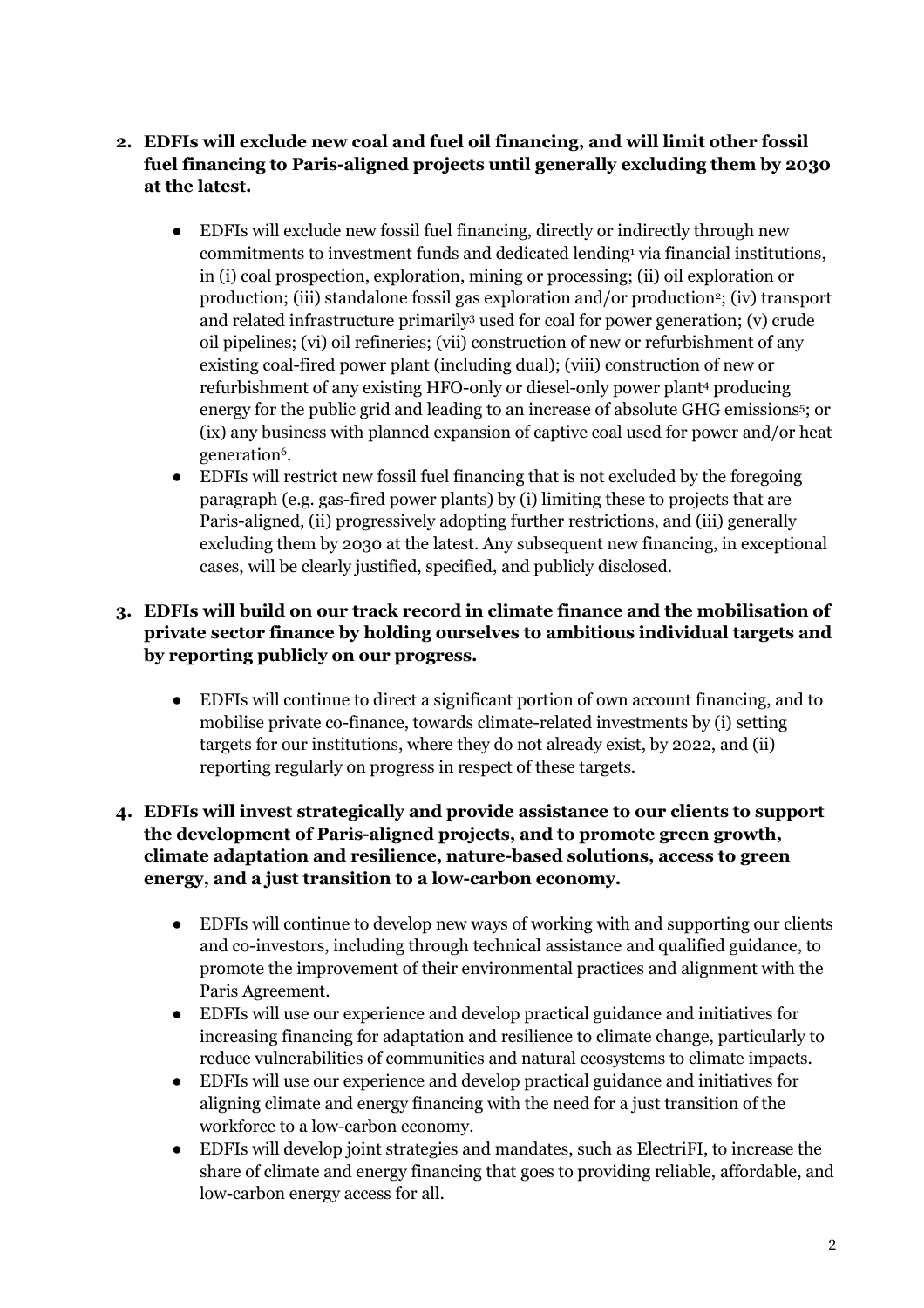- **2. EDFIs will exclude new coal and fuel oil financing, and will limit other fossil fuel financing to Paris-aligned projects until generally excluding them by 2030 at the latest.** 
	- EDFIs will exclude new fossil fuel financing, directly or indirectly through new commitments to investment funds and dedicated lending<sup>1</sup> via financial institutions, in (i) coal prospection, exploration, mining or processing; (ii) oil exploration or production; (iii) standalone fossil gas exploration and/or production<sup>2</sup>; (iv) transport and related infrastructure primarily<sup>3</sup> used for coal for power generation; (v) crude oil pipelines; (vi) oil refineries; (vii) construction of new or refurbishment of any existing coal-fired power plant (including dual); (viii) construction of new or refurbishment of any existing HFO-only or diesel-only power plant<sup>4</sup> producing energy for the public grid and leading to an increase of absolute GHG emissions<sup>5</sup> ; or (ix) any business with planned expansion of captive coal used for power and/or heat generation<sup>6</sup>.
	- EDFIs will restrict new fossil fuel financing that is not excluded by the foregoing paragraph (e.g. gas-fired power plants) by (i) limiting these to projects that are Paris-aligned, (ii) progressively adopting further restrictions, and (iii) generally excluding them by 2030 at the latest. Any subsequent new financing, in exceptional cases, will be clearly justified, specified, and publicly disclosed.

## **3. EDFIs will build on our track record in climate finance and the mobilisation of private sector finance by holding ourselves to ambitious individual targets and by reporting publicly on our progress.**

● EDFIs will continue to direct a significant portion of own account financing, and to mobilise private co-finance, towards climate-related investments by (i) setting targets for our institutions, where they do not already exist, by 2022, and (ii) reporting regularly on progress in respect of these targets.

### **4. EDFIs will invest strategically and provide assistance to our clients to support the development of Paris-aligned projects, and to promote green growth, climate adaptation and resilience, nature-based solutions, access to green energy, and a just transition to a low-carbon economy.**

- EDFIs will continue to develop new ways of working with and supporting our clients and co-investors, including through technical assistance and qualified guidance, to promote the improvement of their environmental practices and alignment with the Paris Agreement.
- EDFIs will use our experience and develop practical guidance and initiatives for increasing financing for adaptation and resilience to climate change, particularly to reduce vulnerabilities of communities and natural ecosystems to climate impacts.
- EDFIs will use our experience and develop practical guidance and initiatives for aligning climate and energy financing with the need for a just transition of the workforce to a low-carbon economy.
- EDFIs will develop joint strategies and mandates, such as ElectriFI, to increase the share of climate and energy financing that goes to providing reliable, affordable, and low-carbon energy access for all.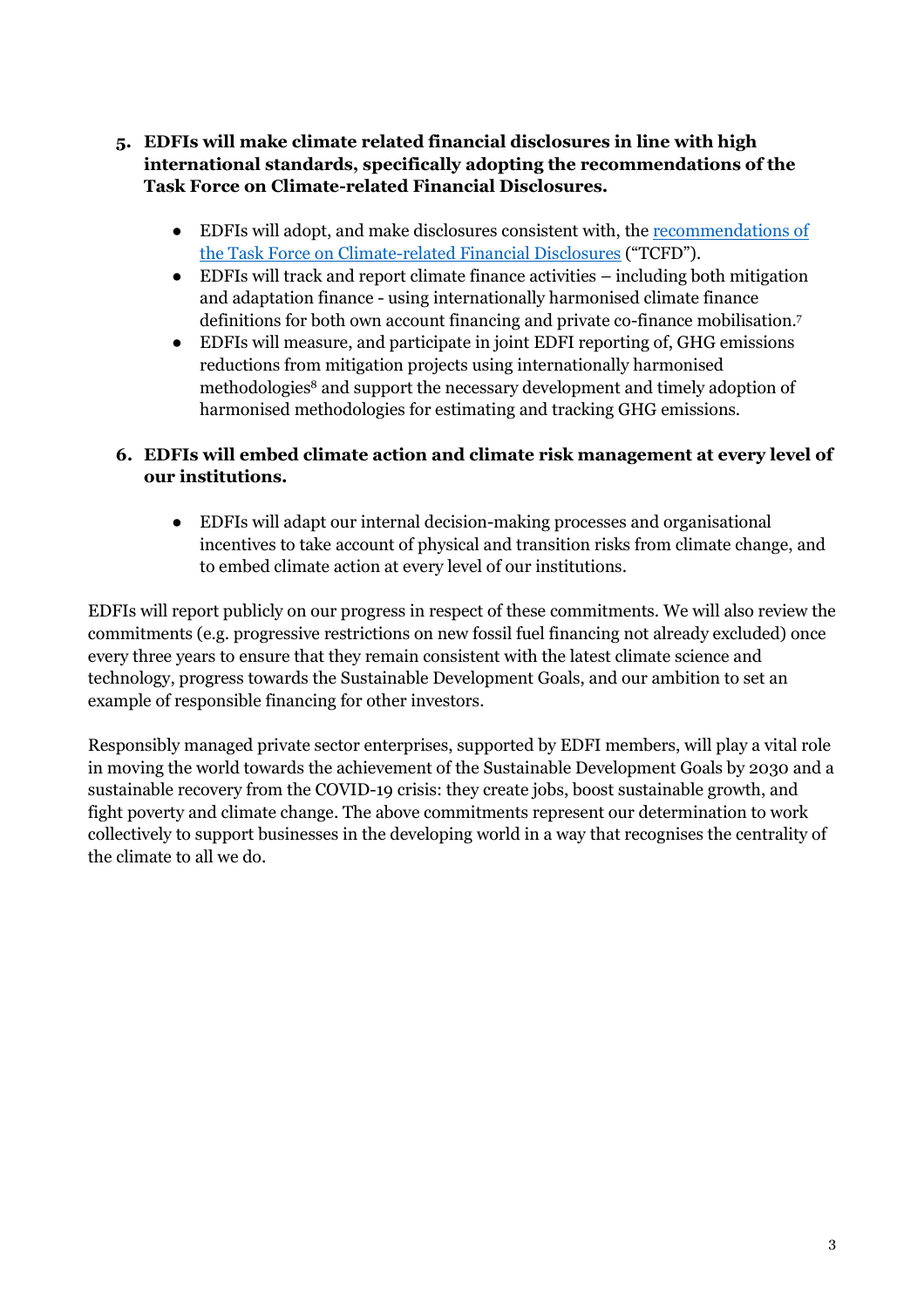- **5. EDFIs will make climate related financial disclosures in line with high international standards, specifically adopting the recommendations of the Task Force on Climate-related Financial Disclosures.** 
	- EDFIs will adopt, and make disclosures consistent with, the recommendations of the Task Force on Climate-related Financial Disclosures ("TCFD").
	- EDFIs will track and report climate finance activities including both mitigation and adaptation finance - using internationally harmonised climate finance definitions for both own account financing and private co-finance mobilisation.<sup>7</sup>
	- EDFIs will measure, and participate in joint EDFI reporting of, GHG emissions reductions from mitigation projects using internationally harmonised methodologies<sup>8</sup> and support the necessary development and timely adoption of harmonised methodologies for estimating and tracking GHG emissions.

## **6. EDFIs will embed climate action and climate risk management at every level of our institutions.**

● EDFIs will adapt our internal decision-making processes and organisational incentives to take account of physical and transition risks from climate change, and to embed climate action at every level of our institutions.

EDFIs will report publicly on our progress in respect of these commitments. We will also review the commitments (e.g. progressive restrictions on new fossil fuel financing not already excluded) once every three years to ensure that they remain consistent with the latest climate science and technology, progress towards the Sustainable Development Goals, and our ambition to set an example of responsible financing for other investors.

Responsibly managed private sector enterprises, supported by EDFI members, will play a vital role in moving the world towards the achievement of the Sustainable Development Goals by 2030 and a sustainable recovery from the COVID-19 crisis: they create jobs, boost sustainable growth, and fight poverty and climate change. The above commitments represent our determination to work collectively to support businesses in the developing world in a way that recognises the centrality of the climate to all we do.